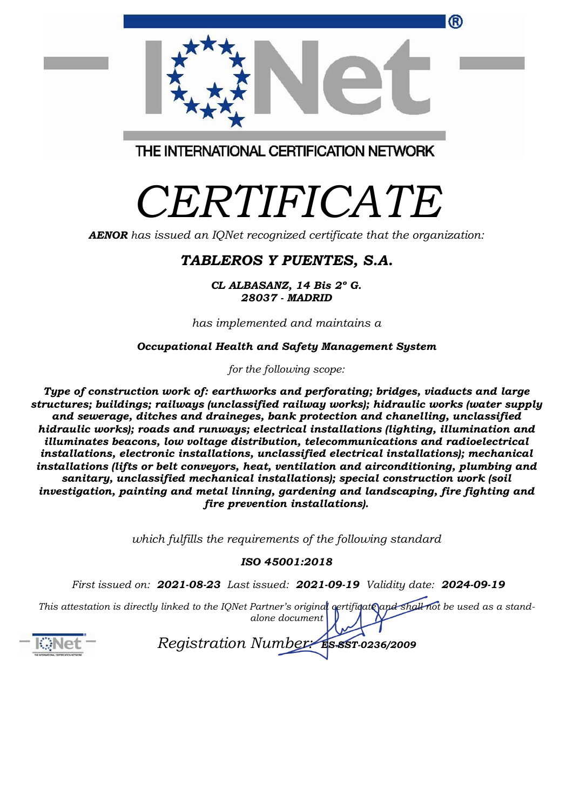|                                         | ® |
|-----------------------------------------|---|
| THE INTERNATIONAL CERTIFICATION NETWORK |   |

## *CERTIFICATE*

*AENOR has issued an IQNet recognized certificate that the organization:*

## *TABLEROS Y PUENTES, S.A.*

*CL ALBASANZ, 14 Bis 2º G. 28037 - MADRID*

*has implemented and maintains a*

*Occupational Health and Safety Management System* 

*for the following scope:* 

*Type of construction work of: earthworks and perforating; bridges, viaducts and large structures; buildings; railways (unclassified railway works); hidraulic works (water supply and sewerage, ditches and draineges, bank protection and chanelling, unclassified hidraulic works); roads and runways; electrical installations (lighting, illumination and illuminates beacons, low voltage distribution, telecommunications and radioelectrical installations, electronic installations, unclassified electrical installations); mechanical installations (lifts or belt conveyors, heat, ventilation and airconditioning, plumbing and sanitary, unclassified mechanical installations); special construction work (soil investigation, painting and metal linning, gardening and landscaping, fire fighting and fire prevention installations).* 

*which fulfills the requirements of the following standard*

## *ISO 45001:2018*

*First issued on: 2021-08-23 Last issued: 2021-09-19 Validity date: 2024-09-19*

This attestation is directly linked to the IQNet Partner's original certificate and shall not be used as a stand*alone document*



*Registration Number: ES-SST-0236/2009*